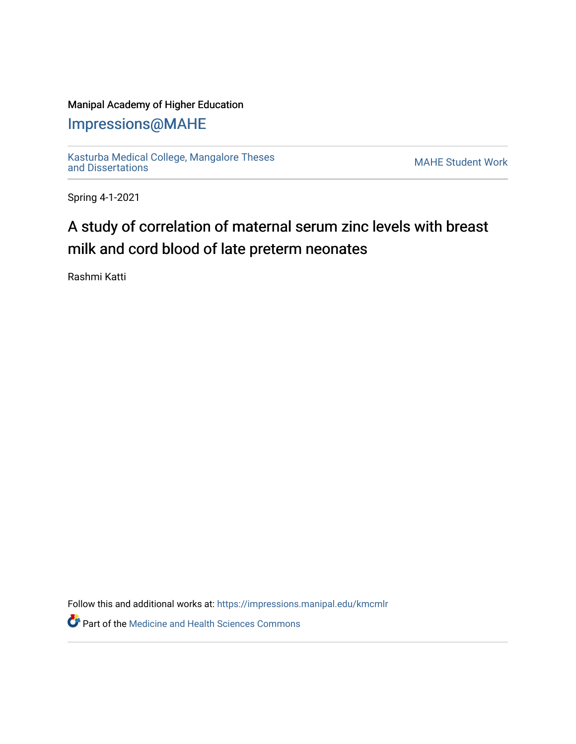## Manipal Academy of Higher Education

## [Impressions@MAHE](https://impressions.manipal.edu/)

[Kasturba Medical College, Mangalore Theses](https://impressions.manipal.edu/kmcmlr) [and Dissertations](https://impressions.manipal.edu/kmcmlr) [MAHE Student Work](https://impressions.manipal.edu/student-work) 

Spring 4-1-2021

## A study of correlation of maternal serum zinc levels with breast milk and cord blood of late preterm neonates

Rashmi Katti

Follow this and additional works at: [https://impressions.manipal.edu/kmcmlr](https://impressions.manipal.edu/kmcmlr?utm_source=impressions.manipal.edu%2Fkmcmlr%2F85&utm_medium=PDF&utm_campaign=PDFCoverPages) 

**Part of the Medicine and Health Sciences Commons**